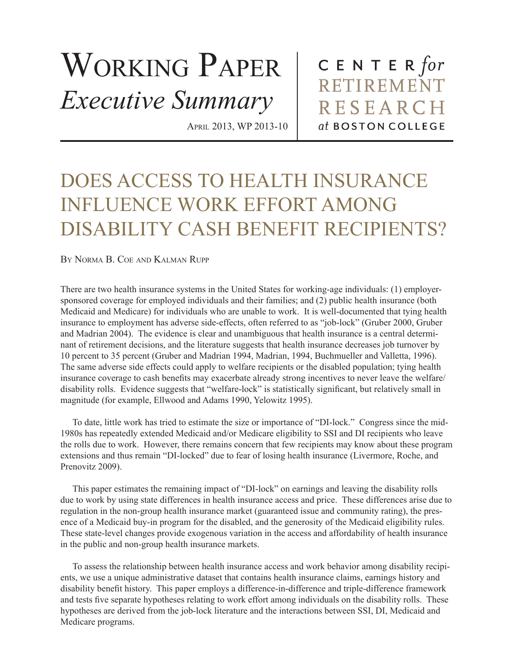# WORKING PAPER *Executive Summary*

April 2013, WP 2013-10

CENTER  $for$ **RETIREMENT RESEARCH** at BOSTON COLLEGE

## DOES ACCESS TO HEALTH INSURANCE INFLUENCE WORK EFFORT AMONG DISABILITY CASH BENEFIT RECIPIENTS?

By Norma B. Coe and Kalman Rupp

There are two health insurance systems in the United States for working-age individuals: (1) employersponsored coverage for employed individuals and their families; and (2) public health insurance (both Medicaid and Medicare) for individuals who are unable to work. It is well-documented that tying health insurance to employment has adverse side-effects, often referred to as "job-lock" (Gruber 2000, Gruber and Madrian 2004). The evidence is clear and unambiguous that health insurance is a central determinant of retirement decisions, and the literature suggests that health insurance decreases job turnover by 10 percent to 35 percent (Gruber and Madrian 1994, Madrian, 1994, Buchmueller and Valletta, 1996). The same adverse side effects could apply to welfare recipients or the disabled population; tying health insurance coverage to cash benefits may exacerbate already strong incentives to never leave the welfare/ disability rolls. Evidence suggests that "welfare-lock" is statistically significant, but relatively small in magnitude (for example, Ellwood and Adams 1990, Yelowitz 1995).

To date, little work has tried to estimate the size or importance of "DI-lock." Congress since the mid-1980s has repeatedly extended Medicaid and/or Medicare eligibility to SSI and DI recipients who leave the rolls due to work. However, there remains concern that few recipients may know about these program extensions and thus remain "DI-locked" due to fear of losing health insurance (Livermore, Roche, and Prenovitz 2009).

This paper estimates the remaining impact of "DI-lock" on earnings and leaving the disability rolls due to work by using state differences in health insurance access and price. These differences arise due to regulation in the non-group health insurance market (guaranteed issue and community rating), the presence of a Medicaid buy-in program for the disabled, and the generosity of the Medicaid eligibility rules. These state-level changes provide exogenous variation in the access and affordability of health insurance in the public and non-group health insurance markets.

To assess the relationship between health insurance access and work behavior among disability recipients, we use a unique administrative dataset that contains health insurance claims, earnings history and disability benefit history. This paper employs a difference-in-difference and triple-difference framework and tests five separate hypotheses relating to work effort among individuals on the disability rolls. These hypotheses are derived from the job-lock literature and the interactions between SSI, DI, Medicaid and Medicare programs.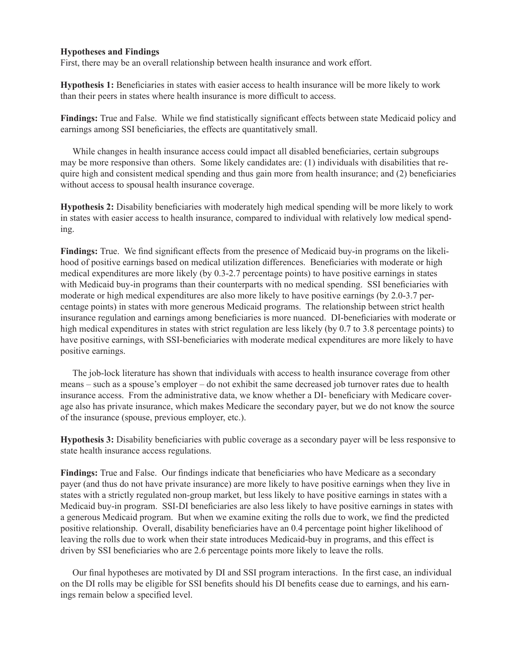#### **Hypotheses and Findings**

First, there may be an overall relationship between health insurance and work effort.

**Hypothesis 1:** Beneficiaries in states with easier access to health insurance will be more likely to work than their peers in states where health insurance is more difficult to access.

**Findings:** True and False. While we find statistically significant effects between state Medicaid policy and earnings among SSI beneficiaries, the effects are quantitatively small.

While changes in health insurance access could impact all disabled beneficiaries, certain subgroups may be more responsive than others. Some likely candidates are: (1) individuals with disabilities that require high and consistent medical spending and thus gain more from health insurance; and (2) beneficiaries without access to spousal health insurance coverage.

**Hypothesis 2:** Disability beneficiaries with moderately high medical spending will be more likely to work in states with easier access to health insurance, compared to individual with relatively low medical spending.

**Findings:** True. We find significant effects from the presence of Medicaid buy-in programs on the likelihood of positive earnings based on medical utilization differences. Beneficiaries with moderate or high medical expenditures are more likely (by 0.3-2.7 percentage points) to have positive earnings in states with Medicaid buy-in programs than their counterparts with no medical spending. SSI beneficiaries with moderate or high medical expenditures are also more likely to have positive earnings (by 2.0-3.7 percentage points) in states with more generous Medicaid programs. The relationship between strict health insurance regulation and earnings among beneficiaries is more nuanced. DI-beneficiaries with moderate or high medical expenditures in states with strict regulation are less likely (by 0.7 to 3.8 percentage points) to have positive earnings, with SSI-beneficiaries with moderate medical expenditures are more likely to have positive earnings.

The job-lock literature has shown that individuals with access to health insurance coverage from other means – such as a spouse's employer – do not exhibit the same decreased job turnover rates due to health insurance access. From the administrative data, we know whether a DI- beneficiary with Medicare coverage also has private insurance, which makes Medicare the secondary payer, but we do not know the source of the insurance (spouse, previous employer, etc.).

**Hypothesis 3:** Disability beneficiaries with public coverage as a secondary payer will be less responsive to state health insurance access regulations.

**Findings:** True and False. Our findings indicate that beneficiaries who have Medicare as a secondary payer (and thus do not have private insurance) are more likely to have positive earnings when they live in states with a strictly regulated non-group market, but less likely to have positive earnings in states with a Medicaid buy-in program. SSI-DI beneficiaries are also less likely to have positive earnings in states with a generous Medicaid program. But when we examine exiting the rolls due to work, we find the predicted positive relationship. Overall, disability beneficiaries have an 0.4 percentage point higher likelihood of leaving the rolls due to work when their state introduces Medicaid-buy in programs, and this effect is driven by SSI beneficiaries who are 2.6 percentage points more likely to leave the rolls.

Our final hypotheses are motivated by DI and SSI program interactions. In the first case, an individual on the DI rolls may be eligible for SSI benefits should his DI benefits cease due to earnings, and his earnings remain below a specified level.